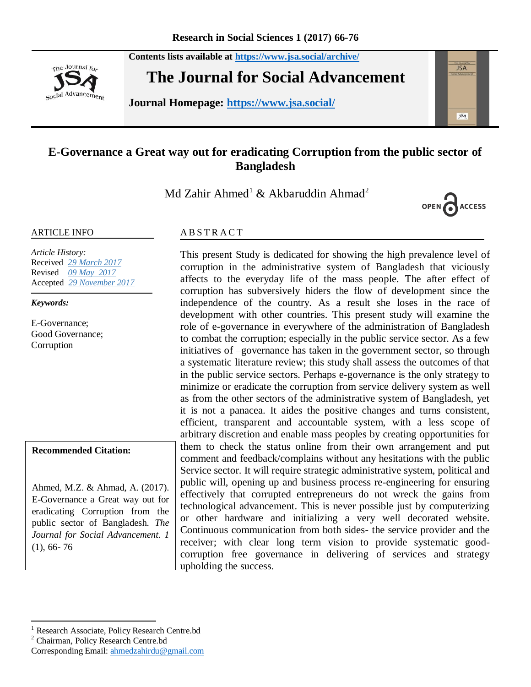**Contents lists available at <https://www.jsa.social/archive/>**



**The Journal for Social Advancement** 

**Journal Homepage: <https://www.jsa.social/>**



# **E-Governance a Great way out for eradicating Corruption from the public sector of Bangladesh**

Md Zahir Ahmed<sup>1</sup> & Akbaruddin Ahmad<sup>2</sup>



#### ARTICLE INFO

*Article History:*  Received *29 March 2017* Revised *09 May 2017* Accepted *29 November 2017*

*Keywords:* 

E-Governance; Good Governance; Corruption

#### **Recommended Citation:**

Ahmed, M.Z. & Ahmad, A. (2017). E-Governance a Great way out for eradicating Corruption from the public sector of Bangladesh. *The Journal for Social Advancement. 1*  (1), 66- 76

### **ABSTRACT**

This present Study is dedicated for showing the high prevalence level of corruption in the administrative system of Bangladesh that viciously affects to the everyday life of the mass people. The after effect of corruption has subversively hiders the flow of development since the independence of the country. As a result she loses in the race of development with other countries. This present study will examine the role of e-governance in everywhere of the administration of Bangladesh to combat the corruption; especially in the public service sector. As a few initiatives of –governance has taken in the government sector, so through a systematic literature review; this study shall assess the outcomes of that in the public service sectors. Perhaps e-governance is the only strategy to minimize or eradicate the corruption from service delivery system as well as from the other sectors of the administrative system of Bangladesh, yet it is not a panacea. It aides the positive changes and turns consistent, efficient, transparent and accountable system, with a less scope of arbitrary discretion and enable mass peoples by creating opportunities for them to check the status online from their own arrangement and put comment and feedback/complains without any hesitations with the public Service sector. It will require strategic administrative system, political and public will, opening up and business process re-engineering for ensuring effectively that corrupted entrepreneurs do not wreck the gains from technological advancement. This is never possible just by computerizing or other hardware and initializing a very well decorated website. Continuous communication from both sides- the service provider and the receiver; with clear long term vision to provide systematic goodcorruption free governance in delivering of services and strategy upholding the success.

 $\overline{a}$ <sup>1</sup> Research Associate, Policy Research Centre.bd

<sup>2</sup> Chairman, Policy Research Centre.bd

Corresponding Email: [ahmedzahirdu@gmail.com](mailto:ahmedzahirdu@gmail.com)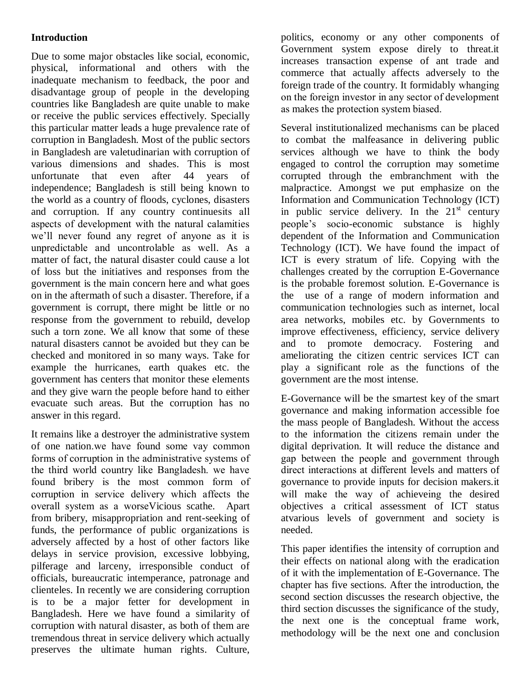## **Introduction**

Due to some major obstacles like social, economic, physical, informational and others with the inadequate mechanism to feedback, the poor and disadvantage group of people in the developing countries like Bangladesh are quite unable to make or receive the public services effectively. Specially this particular matter leads a huge prevalence rate of corruption in Bangladesh. Most of the public sectors in Bangladesh are valetudinarian with corruption of various dimensions and shades. This is most unfortunate that even after 44 years of independence; Bangladesh is still being known to the world as a country of floods, cyclones, disasters and corruption. If any country continuesits all aspects of development with the natural calamities we'll never found any regret of anyone as it is unpredictable and uncontrolable as well. As a matter of fact, the natural disaster could cause a lot of loss but the initiatives and responses from the government is the main concern here and what goes on in the aftermath of such a disaster. Therefore, if a government is corrupt, there might be little or no response from the government to rebuild, develop such a torn zone. We all know that some of these natural disasters cannot be avoided but they can be checked and monitored in so many ways. Take for example the hurricanes, earth quakes etc. the government has centers that monitor these elements and they give warn the people before hand to either evacuate such areas. But the corruption has no answer in this regard.

It remains like a destroyer the administrative system of one nation.we have found some vay common forms of corruption in the administrative systems of the third world country like Bangladesh. we have found bribery is the most common form of corruption in service delivery which affects the overall system as a worseVicious scathe. Apart from bribery, misappropriation and rent-seeking of funds, the performance of public organizations is adversely affected by a host of other factors like delays in service provision, excessive lobbying, pilferage and larceny, irresponsible conduct of officials, bureaucratic intemperance, patronage and clienteles. In recently we are considering corruption is to be a major fetter for development in Bangladesh. Here we have found a similarity of corruption with natural disaster, as both of them are tremendous threat in service delivery which actually preserves the ultimate human rights. Culture, politics, economy or any other components of Government system expose direly to threat.it increases transaction expense of ant trade and commerce that actually affects adversely to the foreign trade of the country. It formidably whanging on the foreign investor in any sector of development as makes the protection system biased.

Several institutionalized mechanisms can be placed to combat the malfeasance in delivering public services although we have to think the body engaged to control the corruption may sometime corrupted through the embranchment with the malpractice. Amongst we put emphasize on the Information and Communication Technology (ICT) in public service delivery. In the  $21<sup>st</sup>$  century people's socio-economic substance is highly dependent of the Information and Communication Technology (ICT). We have found the impact of ICT is every stratum of life. Copying with the challenges created by the corruption E-Governance is the probable foremost solution. E-Governance is the use of a range of modern information and communication technologies such as internet, local area networks, mobiles etc. by Governments to improve effectiveness, efficiency, service delivery and to promote democracy. Fostering and ameliorating the citizen centric services ICT can play a significant role as the functions of the government are the most intense.

E-Governance will be the smartest key of the smart governance and making information accessible foe the mass people of Bangladesh. Without the access to the information the citizens remain under the digital deprivation. It will reduce the distance and gap between the people and government through direct interactions at different levels and matters of governance to provide inputs for decision makers.it will make the way of achieveing the desired objectives a critical assessment of ICT status atvarious levels of government and society is needed.

This paper identifies the intensity of corruption and their effects on national along with the eradication of it with the implementation of E-Governance. The chapter has five sections. After the introduction, the second section discusses the research objective, the third section discusses the significance of the study, the next one is the conceptual frame work, methodology will be the next one and conclusion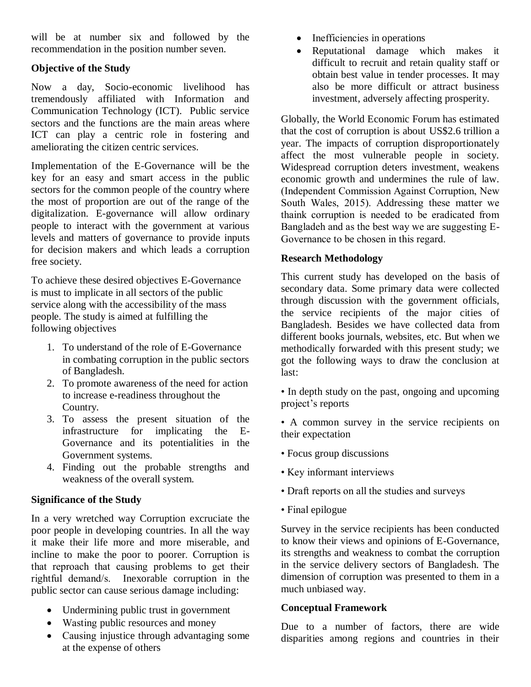will be at number six and followed by the recommendation in the position number seven.

## **Objective of the Study**

Now a day, Socio-economic livelihood has tremendously affiliated with Information and Communication Technology (ICT). Public service sectors and the functions are the main areas where ICT can play a centric role in fostering and ameliorating the citizen centric services.

Implementation of the E-Governance will be the key for an easy and smart access in the public sectors for the common people of the country where the most of proportion are out of the range of the digitalization. E-governance will allow ordinary people to interact with the government at various levels and matters of governance to provide inputs for decision makers and which leads a corruption free society.

To achieve these desired objectives E-Governance is must to implicate in all sectors of the public service along with the accessibility of the mass people. The study is aimed at fulfilling the following objectives

- 1. To understand of the role of E-Governance in combating corruption in the public sectors of Bangladesh.
- 2. To promote awareness of the need for action to increase e-readiness throughout the Country.
- 3. To assess the present situation of the infrastructure for implicating the E-Governance and its potentialities in the Government systems.
- 4. Finding out the probable strengths and weakness of the overall system.

### **Significance of the Study**

In a very wretched way Corruption excruciate the poor people in developing countries. In all the way it make their life more and more miserable, and incline to make the poor to poorer. Corruption is that reproach that causing problems to get their rightful demand/s. Inexorable corruption in the public sector can cause serious damage including:

- Undermining public trust in government
- Wasting public resources and money
- Causing injustice through advantaging some at the expense of others
- Inefficiencies in operations
- Reputational damage which makes it difficult to recruit and retain quality staff or obtain best value in tender processes. It may also be more difficult or attract business investment, adversely affecting prosperity.

Globally, the World Economic Forum has estimated that the cost of corruption is about US\$2.6 trillion a year. The impacts of corruption disproportionately affect the most vulnerable people in society. Widespread corruption deters investment, weakens economic growth and undermines the rule of law. (Independent Commission Against Corruption, New South Wales, 2015). Addressing these matter we thaink corruption is needed to be eradicated from Bangladeh and as the best way we are suggesting E-Governance to be chosen in this regard.

## **Research Methodology**

This current study has developed on the basis of secondary data. Some primary data were collected through discussion with the government officials, the service recipients of the major cities of Bangladesh. Besides we have collected data from different books journals, websites, etc. But when we methodically forwarded with this present study; we got the following ways to draw the conclusion at last:

• In depth study on the past, ongoing and upcoming project's reports

• A common survey in the service recipients on their expectation

- Focus group discussions
- Key informant interviews
- Draft reports on all the studies and surveys
- Final epilogue

Survey in the service recipients has been conducted to know their views and opinions of E-Governance, its strengths and weakness to combat the corruption in the service delivery sectors of Bangladesh. The dimension of corruption was presented to them in a much unbiased way.

### **Conceptual Framework**

Due to a number of factors, there are wide disparities among regions and countries in their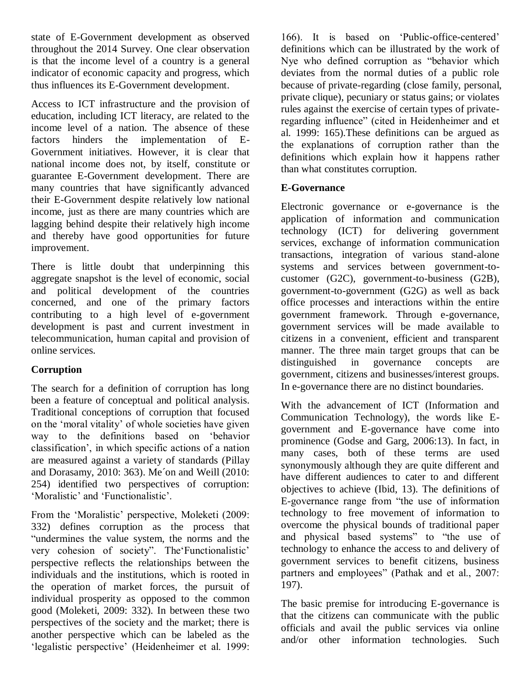state of E-Government development as observed throughout the 2014 Survey. One clear observation is that the income level of a country is a general indicator of economic capacity and progress, which thus influences its E-Government development.

Access to ICT infrastructure and the provision of education, including ICT literacy, are related to the income level of a nation. The absence of these factors hinders the implementation of E-Government initiatives. However, it is clear that national income does not, by itself, constitute or guarantee E-Government development. There are many countries that have significantly advanced their E-Government despite relatively low national income, just as there are many countries which are lagging behind despite their relatively high income and thereby have good opportunities for future improvement.

There is little doubt that underpinning this aggregate snapshot is the level of economic, social and political development of the countries concerned, and one of the primary factors contributing to a high level of e-government development is past and current investment in telecommunication, human capital and provision of online services.

## **Corruption**

The search for a definition of corruption has long been a feature of conceptual and political analysis. Traditional conceptions of corruption that focused on the 'moral vitality' of whole societies have given way to the definitions based on 'behavior classification', in which specific actions of a nation are measured against a variety of standards (Pillay and Dorasamy, 2010: 363). Me´on and Weill (2010: 254) identified two perspectives of corruption: 'Moralistic' and 'Functionalistic'.

From the 'Moralistic' perspective, Moleketi (2009: 332) defines corruption as the process that "undermines the value system, the norms and the very cohesion of society". The Functionalistic' perspective reflects the relationships between the individuals and the institutions, which is rooted in the operation of market forces, the pursuit of individual prosperity as opposed to the common good (Moleketi, 2009: 332). In between these two perspectives of the society and the market; there is another perspective which can be labeled as the 'legalistic perspective' (Heidenheimer et al. 1999:

166). It is based on 'Public-office-centered' definitions which can be illustrated by the work of Nye who defined corruption as "behavior which deviates from the normal duties of a public role because of private-regarding (close family, personal, private clique), pecuniary or status gains; or violates rules against the exercise of certain types of privateregarding influence" (cited in Heidenheimer and et al. 1999: 165).These definitions can be argued as the explanations of corruption rather than the definitions which explain how it happens rather than what constitutes corruption.

## **E-Governance**

Electronic governance or e-governance is the application of information and communication technology (ICT) for delivering government services, exchange of information communication transactions, integration of various stand-alone systems and services between government-tocustomer (G2C), government-to-business (G2B), government-to-government (G2G) as well as back office processes and interactions within the entire government framework. Through e-governance, government services will be made available to citizens in a convenient, efficient and transparent manner. The three main target groups that can be distinguished in governance concepts are government, citizens and businesses/interest groups. In e-governance there are no distinct boundaries.

With the advancement of ICT (Information and Communication Technology), the words like Egovernment and E-governance have come into prominence (Godse and Garg, 2006:13). In fact, in many cases, both of these terms are used synonymously although they are quite different and have different audiences to cater to and different objectives to achieve (Ibid, 13). The definitions of E-governance range from "the use of information technology to free movement of information to overcome the physical bounds of traditional paper and physical based systems" to "the use of technology to enhance the access to and delivery of government services to benefit citizens, business partners and employees" (Pathak and et al., 2007: 197).

The basic premise for introducing E-governance is that the citizens can communicate with the public officials and avail the public services via online and/or other information technologies. Such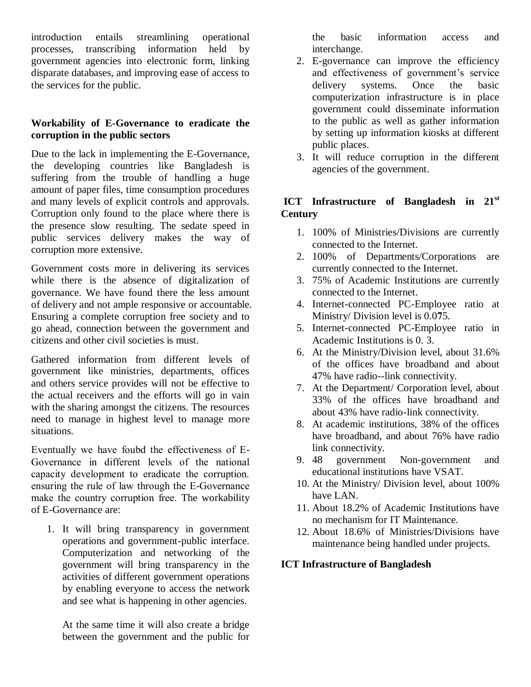introduction entails streamlining operational processes, transcribing information held by government agencies into electronic form, linking disparate databases, and improving ease of access to the services for the public.

### **Workability of E-Governance to eradicate the corruption in the public sectors**

Due to the lack in implementing the E-Governance, the developing countries like Bangladesh is suffering from the trouble of handling a huge amount of paper files, time consumption procedures and many levels of explicit controls and approvals. Corruption only found to the place where there is the presence slow resulting. The sedate speed in public services delivery makes the way of corruption more extensive.

Government costs more in delivering its services while there is the absence of digitalization of governance. We have found there the less amount of delivery and not ample responsive or accountable. Ensuring a complete corruption free society and to go ahead, connection between the government and citizens and other civil societies is must.

Gathered information from different levels of government like ministries, departments, offices and others service provides will not be effective to the actual receivers and the efforts will go in vain with the sharing amongst the citizens. The resources need to manage in highest level to manage more situations.

Eventually we have foubd the effectiveness of E-Governance in different levels of the national capacity development to eradicate the corruption. ensuring the rule of law through the E-Governance make the country corruption free. The workability of E-Governance are:

1. It will bring transparency in government operations and government-public interface. Computerization and networking of the government will bring transparency in the activities of different government operations by enabling everyone to access the network and see what is happening in other agencies.

At the same time it will also create a bridge between the government and the public for the basic information access and interchange.

- 2. E-governance can improve the efficiency and effectiveness of government's service delivery systems. Once the basic computerization infrastructure is in place government could disseminate information to the public as well as gather information by setting up information kiosks at different public places.
- 3. It will reduce corruption in the different agencies of the government.

## **ICT Infrastructure of Bangladesh in 21st Century**

- 1. 100% of Ministries/Divisions are currently connected to the Internet.
- 2. 100% of Departments/Corporations are currently connected to the Internet.
- 3. 75% of Academic Institutions are currently connected to the Internet.
- 4. Internet-connected PC-Employee ratio at Ministry/ Division level is 0.0**7**5.
- 5. Internet-connected PC-Employee ratio in Academic Institutions is 0. 3.
- 6. At the Ministry/Division level, about 31.6% of the offices have broadband and about 47% have radio--link connectivity.
- 7. At the Department/ Corporation level, about 33% of the offices have broadband and about 43% have radio-link connectivity.
- 8. At academic institutions, 38% of the offices have broadband, and about 76% have radio link connectivity.
- 9. 48 government Non-government and educational institutions have VSAT.
- 10. At the Ministry/ Division level, about 100% have LAN.
- 11. About 18.2% of Academic Institutions have no mechanism for IT Maintenance.
- 12. About 18.6% of Ministries/Divisions have maintenance being handled under projects.

### **ICT Infrastructure of Bangladesh**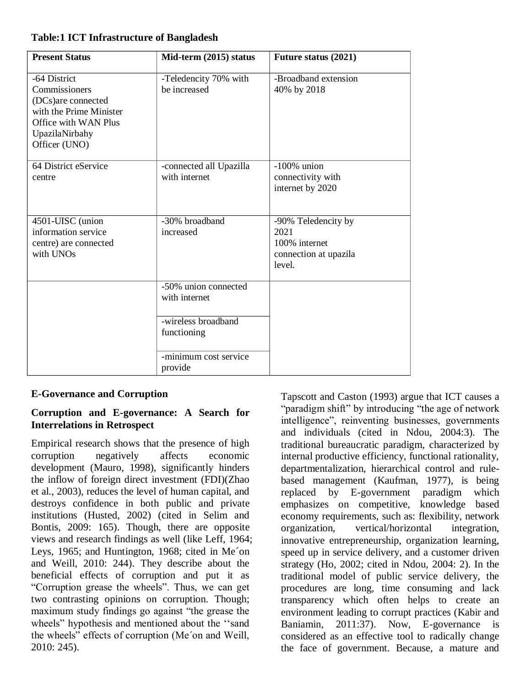### **Table:1 ICT Infrastructure of Bangladesh**

| <b>Present Status</b>                                                                                                                      | Mid-term (2015) status                   | <b>Future status (2021)</b>                                                     |
|--------------------------------------------------------------------------------------------------------------------------------------------|------------------------------------------|---------------------------------------------------------------------------------|
| -64 District<br>Commissioners<br>(DCs) are connected<br>with the Prime Minister<br>Office with WAN Plus<br>UpazilaNirbahy<br>Officer (UNO) | -Teledencity 70% with<br>be increased    | -Broadband extension<br>40% by 2018                                             |
| 64 District eService<br>centre                                                                                                             | -connected all Upazilla<br>with internet | $-100\%$ union<br>connectivity with<br>internet by 2020                         |
| 4501-UISC (union<br>information service<br>centre) are connected<br>with UNOs                                                              | -30% broadband<br>increased              | -90% Teledencity by<br>2021<br>100% internet<br>connection at upazila<br>level. |
|                                                                                                                                            | -50% union connected<br>with internet    |                                                                                 |
|                                                                                                                                            | -wireless broadband<br>functioning       |                                                                                 |
|                                                                                                                                            | -minimum cost service<br>provide         |                                                                                 |

### **E-Governance and Corruption**

### **Corruption and E-governance: A Search for Interrelations in Retrospect**

Empirical research shows that the presence of high corruption negatively affects economic development (Mauro, 1998), significantly hinders the inflow of foreign direct investment (FDI)(Zhao et al., 2003), reduces the level of human capital, and destroys confidence in both public and private institutions (Husted, 2002) (cited in Selim and Bontis, 2009: 165). Though, there are opposite views and research findings as well (like Leff, 1964; Leys, 1965; and Huntington, 1968; cited in Me´on and Weill, 2010: 244). They describe about the beneficial effects of corruption and put it as ―Corruption grease the wheels‖. Thus, we can get two contrasting opinions on corruption. Though; maximum study findings go against "the grease the wheels" hypothesis and mentioned about the "sand the wheels" effects of corruption (Me'on and Weill, 2010: 245).

Tapscott and Caston (1993) argue that ICT causes a "paradigm shift" by introducing "the age of network" intelligence", reinventing businesses, governments and individuals (cited in Ndou, 2004:3). The traditional bureaucratic paradigm, characterized by internal productive efficiency, functional rationality, departmentalization, hierarchical control and rulebased management (Kaufman, 1977), is being replaced by E-government paradigm which emphasizes on competitive, knowledge based economy requirements, such as: flexibility, network organization, vertical/horizontal integration, innovative entrepreneurship, organization learning, speed up in service delivery, and a customer driven strategy (Ho, 2002; cited in Ndou, 2004: 2). In the traditional model of public service delivery, the procedures are long, time consuming and lack transparency which often helps to create an environment leading to corrupt practices (Kabir and Baniamin, 2011:37). Now, E-governance is considered as an effective tool to radically change the face of government. Because, a mature and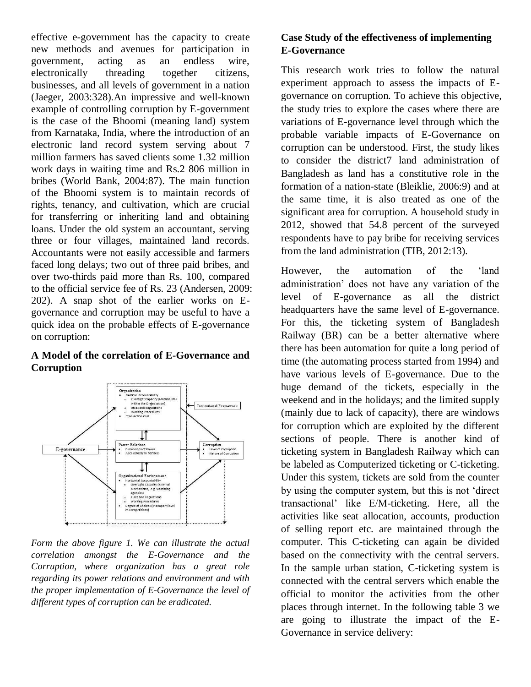effective e-government has the capacity to create new methods and avenues for participation in government, acting as an endless wire, electronically threading together citizens, businesses, and all levels of government in a nation (Jaeger, 2003:328).An impressive and well-known example of controlling corruption by E-government is the case of the Bhoomi (meaning land) system from Karnataka, India, where the introduction of an electronic land record system serving about 7 million farmers has saved clients some 1.32 million work days in waiting time and Rs.2 806 million in bribes (World Bank, 2004:87). The main function of the Bhoomi system is to maintain records of rights, tenancy, and cultivation, which are crucial for transferring or inheriting land and obtaining loans. Under the old system an accountant, serving three or four villages, maintained land records. Accountants were not easily accessible and farmers faced long delays; two out of three paid bribes, and over two-thirds paid more than Rs. 100, compared to the official service fee of Rs. 23 (Andersen, 2009: 202). A snap shot of the earlier works on Egovernance and corruption may be useful to have a quick idea on the probable effects of E-governance on corruption:

#### **A Model of the correlation of E-Governance and Corruption**



*Form the above figure 1. We can illustrate the actual correlation amongst the E-Governance and the Corruption, where organization has a great role regarding its power relations and environment and with the proper implementation of E-Governance the level of different types of corruption can be eradicated.*

## **Case Study of the effectiveness of implementing E-Governance**

This research work tries to follow the natural experiment approach to assess the impacts of Egovernance on corruption. To achieve this objective, the study tries to explore the cases where there are variations of E-governance level through which the probable variable impacts of E-Governance on corruption can be understood. First, the study likes to consider the district7 land administration of Bangladesh as land has a constitutive role in the formation of a nation-state (Bleiklie, 2006:9) and at the same time, it is also treated as one of the significant area for corruption. A household study in 2012, showed that 54.8 percent of the surveyed respondents have to pay bribe for receiving services from the land administration (TIB, 2012:13).

However, the automation of the 'land administration' does not have any variation of the level of E-governance as all the district headquarters have the same level of E-governance. For this, the ticketing system of Bangladesh Railway (BR) can be a better alternative where there has been automation for quite a long period of time (the automating process started from 1994) and have various levels of E-governance. Due to the huge demand of the tickets, especially in the weekend and in the holidays; and the limited supply (mainly due to lack of capacity), there are windows for corruption which are exploited by the different sections of people. There is another kind of ticketing system in Bangladesh Railway which can be labeled as Computerized ticketing or C-ticketing. Under this system, tickets are sold from the counter by using the computer system, but this is not 'direct transactional' like E/M-ticketing. Here, all the activities like seat allocation, accounts, production of selling report etc. are maintained through the computer. This C-ticketing can again be divided based on the connectivity with the central servers. In the sample urban station, C-ticketing system is connected with the central servers which enable the official to monitor the activities from the other places through internet. In the following table 3 we are going to illustrate the impact of the E-Governance in service delivery: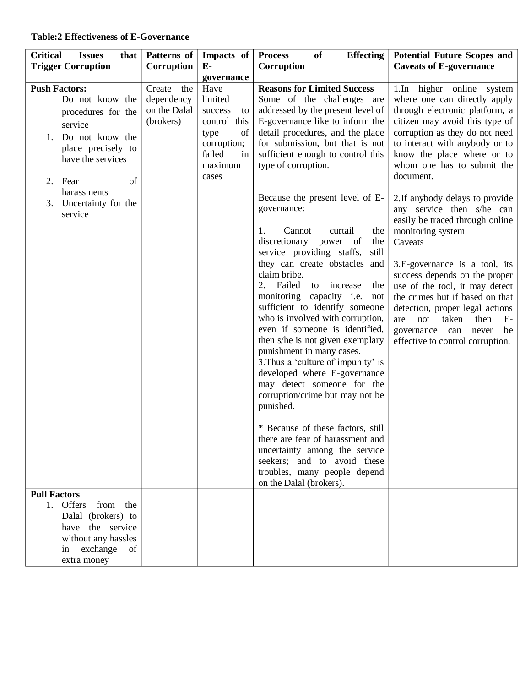### **Table:2 Effectiveness of E-Governance**

| <b>Critical</b><br><b>Issues</b><br>that                                                                                   | Patterns of                                           | Impacts of                                                                   | <b>Effecting</b><br><b>Process</b><br>of                                                                                                                                                                                                                                                                                                                                                                                                                                                                                                                                                                                                                                                                                                                                                                           | <b>Potential Future Scopes and</b>                                                                                                                                                                                                                                                                                                                                                                                    |
|----------------------------------------------------------------------------------------------------------------------------|-------------------------------------------------------|------------------------------------------------------------------------------|--------------------------------------------------------------------------------------------------------------------------------------------------------------------------------------------------------------------------------------------------------------------------------------------------------------------------------------------------------------------------------------------------------------------------------------------------------------------------------------------------------------------------------------------------------------------------------------------------------------------------------------------------------------------------------------------------------------------------------------------------------------------------------------------------------------------|-----------------------------------------------------------------------------------------------------------------------------------------------------------------------------------------------------------------------------------------------------------------------------------------------------------------------------------------------------------------------------------------------------------------------|
| <b>Trigger Corruption</b>                                                                                                  | <b>Corruption</b>                                     | $E-$                                                                         | Corruption                                                                                                                                                                                                                                                                                                                                                                                                                                                                                                                                                                                                                                                                                                                                                                                                         | <b>Caveats of E-governance</b>                                                                                                                                                                                                                                                                                                                                                                                        |
| <b>Push Factors:</b><br>Do not know the<br>procedures for the<br>service                                                   | Create the<br>dependency<br>on the Dalal<br>(brokers) | governance<br>Have<br>limited<br>success<br>to<br>control this<br>of<br>type | <b>Reasons for Limited Success</b><br>Some of the challenges are<br>addressed by the present level of<br>E-governance like to inform the<br>detail procedures, and the place                                                                                                                                                                                                                                                                                                                                                                                                                                                                                                                                                                                                                                       | 1.In higher online system<br>where one can directly apply<br>through electronic platform, a<br>citizen may avoid this type of<br>corruption as they do not need                                                                                                                                                                                                                                                       |
| Do not know the<br>1.<br>place precisely to<br>have the services<br>of<br>Fear<br>2.                                       |                                                       | corruption;<br>failed<br>in<br>maximum<br>cases                              | for submission, but that is not<br>sufficient enough to control this<br>type of corruption.                                                                                                                                                                                                                                                                                                                                                                                                                                                                                                                                                                                                                                                                                                                        | to interact with anybody or to<br>know the place where or to<br>whom one has to submit the<br>document.                                                                                                                                                                                                                                                                                                               |
| harassments<br>Uncertainty for the<br>3.<br>service                                                                        |                                                       |                                                                              | Because the present level of E-<br>governance:<br>Cannot<br>1.<br>curtail<br>the<br>discretionary power of<br>the<br>service providing staffs,<br>still<br>they can create obstacles and<br>claim bribe.<br>2. Failed<br>to<br>increase<br>the<br>monitoring capacity i.e.<br>not<br>sufficient to identify someone<br>who is involved with corruption,<br>even if someone is identified,<br>then s/he is not given exemplary<br>punishment in many cases.<br>3. Thus a 'culture of impunity' is<br>developed where E-governance<br>may detect someone for the<br>corruption/crime but may not be<br>punished.<br>* Because of these factors, still<br>there are fear of harassment and<br>uncertainty among the service<br>seekers; and to avoid these<br>troubles, many people depend<br>on the Dalal (brokers). | 2. If anybody delays to provide<br>any service then s/he can<br>easily be traced through online<br>monitoring system<br>Caveats<br>3.E-governance is a tool, its<br>success depends on the proper<br>use of the tool, it may detect<br>the crimes but if based on that<br>detection, proper legal actions<br>not<br>taken<br>then<br>are<br>$E-$<br>governance can<br>never<br>be<br>effective to control corruption. |
| <b>Pull Factors</b>                                                                                                        |                                                       |                                                                              |                                                                                                                                                                                                                                                                                                                                                                                                                                                                                                                                                                                                                                                                                                                                                                                                                    |                                                                                                                                                                                                                                                                                                                                                                                                                       |
| 1. Offers from the<br>Dalal (brokers) to<br>have the service<br>without any hassles<br>exchange<br>of<br>in<br>extra money |                                                       |                                                                              |                                                                                                                                                                                                                                                                                                                                                                                                                                                                                                                                                                                                                                                                                                                                                                                                                    |                                                                                                                                                                                                                                                                                                                                                                                                                       |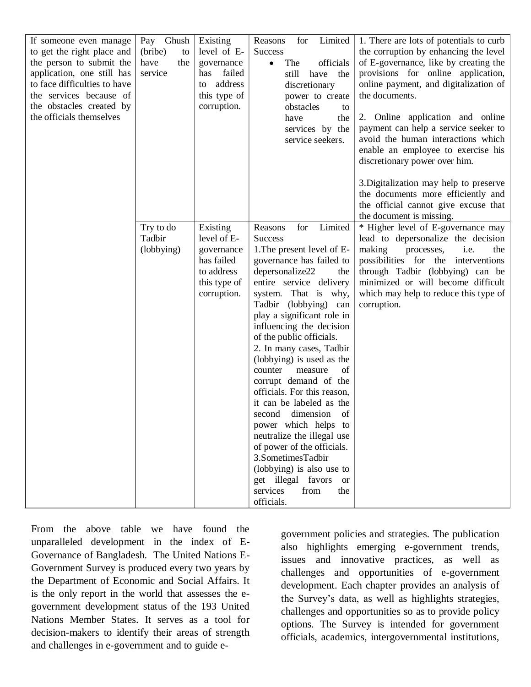| If someone even manage<br>to get the right place and<br>the person to submit the<br>application, one still has<br>to face difficulties to have<br>the services because of<br>the obstacles created by<br>the officials themselves | Pay Ghush<br>(bribe)<br>to<br>have<br>the<br>service | Existing<br>level of E-<br>governance<br>failed<br>has<br>address<br>to<br>this type of<br>corruption. | Limited  <br>Reasons<br>for<br><b>Success</b><br>The<br>officials<br>$\bullet$<br>still<br>have the<br>discretionary<br>power to create<br>obstacles<br>to<br>have<br>the<br>services by the<br>service seekers.                                                                                                                                                                                                                                                                                                                                                                            | 1. There are lots of potentials to curb<br>the corruption by enhancing the level<br>of E-governance, like by creating the<br>provisions for online application,<br>online payment, and digitalization of<br>the documents.<br>2. Online application and online<br>payment can help a service seeker to<br>avoid the human interactions which<br>enable an employee to exercise his                                                                                            |
|-----------------------------------------------------------------------------------------------------------------------------------------------------------------------------------------------------------------------------------|------------------------------------------------------|--------------------------------------------------------------------------------------------------------|---------------------------------------------------------------------------------------------------------------------------------------------------------------------------------------------------------------------------------------------------------------------------------------------------------------------------------------------------------------------------------------------------------------------------------------------------------------------------------------------------------------------------------------------------------------------------------------------|-------------------------------------------------------------------------------------------------------------------------------------------------------------------------------------------------------------------------------------------------------------------------------------------------------------------------------------------------------------------------------------------------------------------------------------------------------------------------------|
|                                                                                                                                                                                                                                   | Try to do<br>Tadbir<br>(lobbying)                    | Existing<br>level of E-<br>governance<br>has failed<br>to address<br>this type of<br>corruption.       | Limited<br>Reasons<br>for<br><b>Success</b><br>1. The present level of E-<br>governance has failed to<br>depersonalize22<br>the<br>entire service delivery<br>system. That is why,<br>Tadbir (lobbying) can<br>play a significant role in<br>influencing the decision<br>of the public officials.<br>2. In many cases, Tadbir<br>(lobbying) is used as the<br>of<br>counter<br>measure<br>corrupt demand of the<br>officials. For this reason,<br>it can be labeled as the<br>dimension<br>of<br>second<br>power which helps to<br>neutralize the illegal use<br>of power of the officials. | discretionary power over him.<br>3. Digitalization may help to preserve<br>the documents more efficiently and<br>the official cannot give excuse that<br>the document is missing.<br>* Higher level of E-governance may<br>lead to depersonalize the decision<br>making<br>i.e.<br>processes,<br>the<br>possibilities for the interventions<br>through Tadbir (lobbying) can be<br>minimized or will become difficult<br>which may help to reduce this type of<br>corruption. |
|                                                                                                                                                                                                                                   |                                                      |                                                                                                        | 3.SometimesTadbir<br>(lobbying) is also use to<br>get illegal favors or<br>services<br>from<br>the<br>officials.                                                                                                                                                                                                                                                                                                                                                                                                                                                                            |                                                                                                                                                                                                                                                                                                                                                                                                                                                                               |

From the above table we have found the unparalleled development in the index of E-Governance of Bangladesh. The United Nations E-Government Survey is produced every two years by the Department of Economic and Social Affairs. It is the only report in the world that assesses the egovernment development status of the 193 United Nations Member States. It serves as a tool for decision-makers to identify their areas of strength and challenges in e-government and to guide e-

government policies and strategies. The publication also highlights emerging e-government trends, issues and innovative practices, as well as challenges and opportunities of e-government development. Each chapter provides an analysis of the Survey's data, as well as highlights strategies, challenges and opportunities so as to provide policy options. The Survey is intended for government officials, academics, intergovernmental institutions,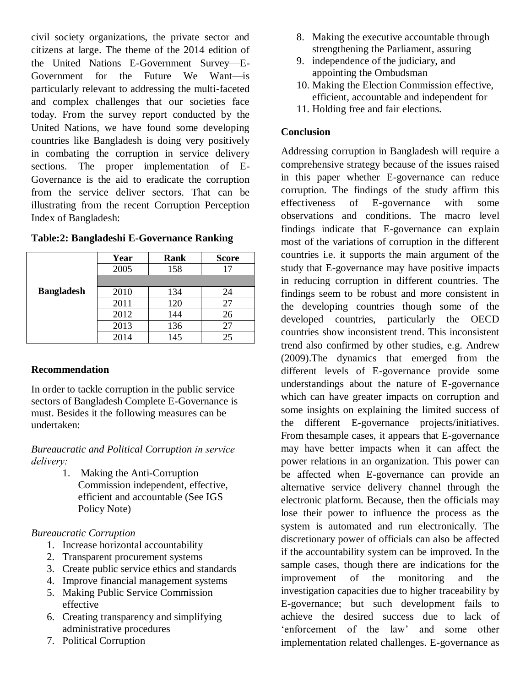civil society organizations, the private sector and citizens at large. The theme of the 2014 edition of the United Nations E-Government Survey—E-Government for the Future We Want—is particularly relevant to addressing the multi-faceted and complex challenges that our societies face today. From the survey report conducted by the United Nations, we have found some developing countries like Bangladesh is doing very positively in combating the corruption in service delivery sections. The proper implementation of E-Governance is the aid to eradicate the corruption from the service deliver sectors. That can be illustrating from the recent Corruption Perception Index of Bangladesh:

|                   | Year | Rank | <b>Score</b> |
|-------------------|------|------|--------------|
|                   | 2005 | 158  | 17           |
|                   |      |      |              |
| <b>Bangladesh</b> | 2010 | 134  | 24           |
|                   | 2011 | 120  | 27           |
|                   | 2012 | 144  | 26           |
|                   | 2013 | 136  | 27           |
|                   | 2014 | 145  | 25           |

#### **Table:2: Bangladeshi E-Governance Ranking**

### **Recommendation**

In order to tackle corruption in the public service sectors of Bangladesh Complete E-Governance is must. Besides it the following measures can be undertaken:

*Bureaucratic and Political Corruption in service delivery:* 

> 1. Making the Anti-Corruption Commission independent, effective, efficient and accountable (See IGS Policy Note)

#### *Bureaucratic Corruption*

- 1. Increase horizontal accountability
- 2. Transparent procurement systems
- 3. Create public service ethics and standards
- 4. Improve financial management systems
- 5. Making Public Service Commission effective
- 6. Creating transparency and simplifying administrative procedures
- 7. Political Corruption
- 8. Making the executive accountable through strengthening the Parliament, assuring
- 9. independence of the judiciary, and appointing the Ombudsman
- 10. Making the Election Commission effective, efficient, accountable and independent for
- 11. Holding free and fair elections.

#### **Conclusion**

Addressing corruption in Bangladesh will require a comprehensive strategy because of the issues raised in this paper whether E-governance can reduce corruption. The findings of the study affirm this effectiveness of E-governance with some observations and conditions. The macro level findings indicate that E-governance can explain most of the variations of corruption in the different countries i.e. it supports the main argument of the study that E-governance may have positive impacts in reducing corruption in different countries. The findings seem to be robust and more consistent in the developing countries though some of the developed countries, particularly the OECD countries show inconsistent trend. This inconsistent trend also confirmed by other studies, e.g. Andrew (2009).The dynamics that emerged from the different levels of E-governance provide some understandings about the nature of E-governance which can have greater impacts on corruption and some insights on explaining the limited success of the different E-governance projects/initiatives. From thesample cases, it appears that E-governance may have better impacts when it can affect the power relations in an organization. This power can be affected when E-governance can provide an alternative service delivery channel through the electronic platform. Because, then the officials may lose their power to influence the process as the system is automated and run electronically. The discretionary power of officials can also be affected if the accountability system can be improved. In the sample cases, though there are indications for the improvement of the monitoring and the investigation capacities due to higher traceability by E-governance; but such development fails to achieve the desired success due to lack of ‗enforcement of the law' and some other implementation related challenges. E-governance as